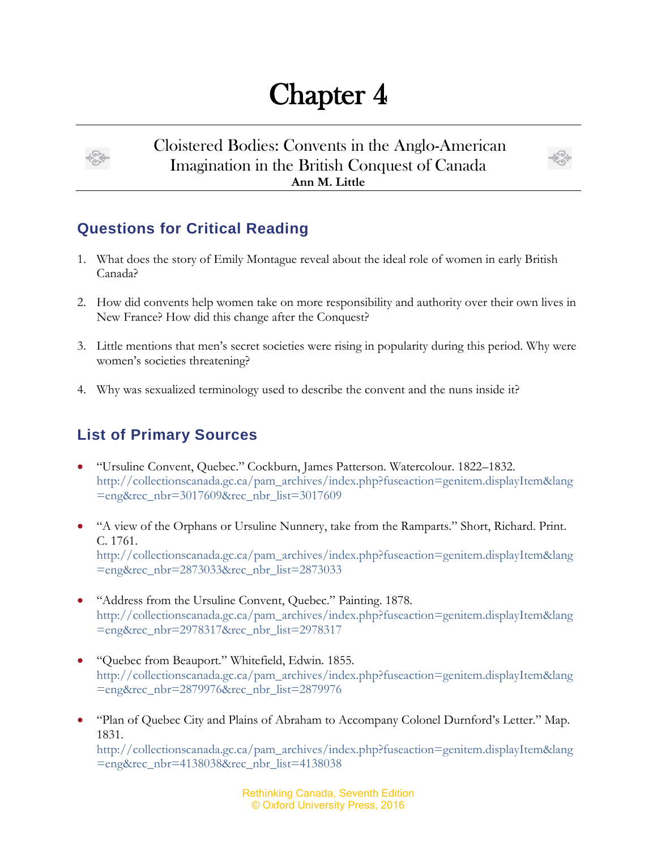## Chapter 4



Cloistered Bodies: Convents in the Anglo-American Imagination in the British Conquest of Canada **Ann M. Little**



## **Questions for Critical Reading**

- 1. What does the story of Emily Montague reveal about the ideal role of women in early British Canada?
- 2. How did convents help women take on more responsibility and authority over their own lives in New France? How did this change after the Conquest?
- 3. Little mentions that men's secret societies were rising in popularity during this period. Why were women's societies threatening?
- 4. Why was sexualized terminology used to describe the convent and the nuns inside it?

## **List of Primary Sources**

- "Ursuline Convent, Quebec." Cockburn, James Patterson. Watercolour. 1822–1832. [http://collectionscanada.gc.ca/pam\\_archives/index.php?fuseaction=genitem.displayItem&lang](http://collectionscanada.gc.ca/pam_archives/index.php?fuseaction=genitem.displayItem&lang=eng&rec_nbr=3017609&rec_nbr_list=3017609) [=eng&rec\\_nbr=3017609&rec\\_nbr\\_list=3017609](http://collectionscanada.gc.ca/pam_archives/index.php?fuseaction=genitem.displayItem&lang=eng&rec_nbr=3017609&rec_nbr_list=3017609)
- "A view of the Orphans or Ursuline Nunnery, take from the Ramparts." Short, Richard. Print. C. 1761. [http://collectionscanada.gc.ca/pam\\_archives/index.php?fuseaction=genitem.displayItem&lang](http://collectionscanada.gc.ca/pam_archives/index.php?fuseaction=genitem.displayItem&lang=eng&rec_nbr=2873033&rec_nbr_list=2873033) [=eng&rec\\_nbr=2873033&rec\\_nbr\\_list=2873033](http://collectionscanada.gc.ca/pam_archives/index.php?fuseaction=genitem.displayItem&lang=eng&rec_nbr=2873033&rec_nbr_list=2873033)
- "Address from the Ursuline Convent, Quebec." Painting. 1878. [http://collectionscanada.gc.ca/pam\\_archives/index.php?fuseaction=genitem.displayItem&lang](http://collectionscanada.gc.ca/pam_archives/index.php?fuseaction=genitem.displayItem&lang=eng&rec_nbr=2978317&rec_nbr_list=2978317) [=eng&rec\\_nbr=2978317&rec\\_nbr\\_list=2978317](http://collectionscanada.gc.ca/pam_archives/index.php?fuseaction=genitem.displayItem&lang=eng&rec_nbr=2978317&rec_nbr_list=2978317)
- "Quebec from Beauport." Whitefield, Edwin. 1855. [http://collectionscanada.gc.ca/pam\\_archives/index.php?fuseaction=genitem.displayItem&lang](http://collectionscanada.gc.ca/pam_archives/index.php?fuseaction=genitem.displayItem&lang=eng&rec_nbr=2879976&rec_nbr_list=2879976) [=eng&rec\\_nbr=2879976&rec\\_nbr\\_list=2879976](http://collectionscanada.gc.ca/pam_archives/index.php?fuseaction=genitem.displayItem&lang=eng&rec_nbr=2879976&rec_nbr_list=2879976)
- "Plan of Quebec City and Plains of Abraham to Accompany Colonel Durnford's Letter." Map. 1831.

[http://collectionscanada.gc.ca/pam\\_archives/index.php?fuseaction=genitem.displayItem&lang](http://collectionscanada.gc.ca/pam_archives/index.php?fuseaction=genitem.displayItem&lang=eng&rec_nbr=4138038&rec_nbr_list=4138038) [=eng&rec\\_nbr=4138038&rec\\_nbr\\_list=4138038](http://collectionscanada.gc.ca/pam_archives/index.php?fuseaction=genitem.displayItem&lang=eng&rec_nbr=4138038&rec_nbr_list=4138038)

> Rethinking Canada, Seventh Edition © Oxford University Press, 2016